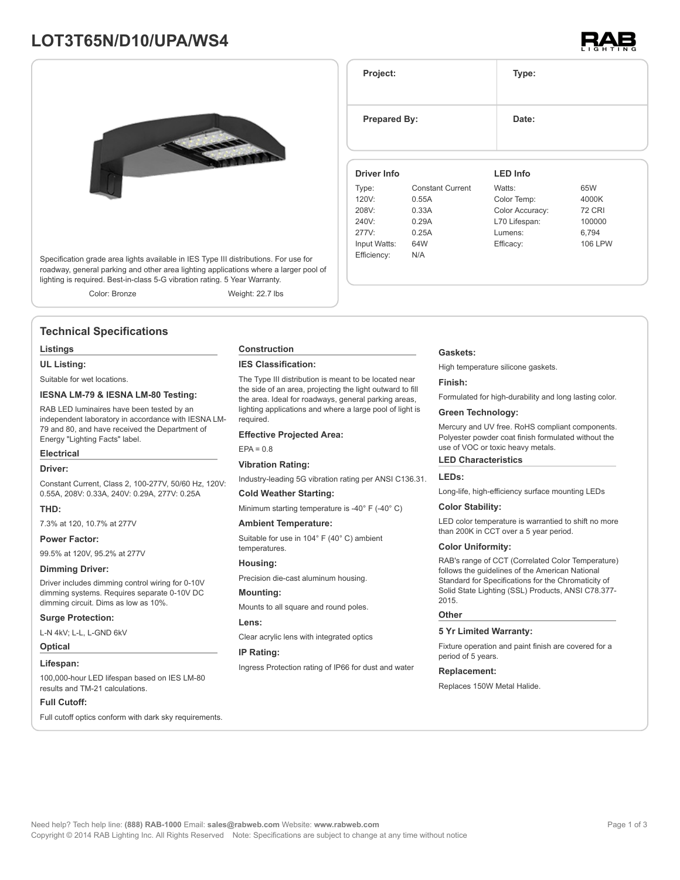# **LOT3T65N/D10/UPA/WS4**



Specification grade area lights available in IES Type III distributions. For use for roadway, general parking and other area lighting applications where a larger pool of lighting is required. Best-in-class 5-G vibration rating. 5 Year Warranty.

Color: Bronze Weight: 22.7 lbs

# **Technical Specifications**

#### **Listings**

**UL Listing:**

Suitable for wet locations.

### **IESNA LM-79 & IESNA LM-80 Testing:**

RAB LED luminaires have been tested by an independent laboratory in accordance with IESNA LM-79 and 80, and have received the Department of Energy "Lighting Facts" label.

### **Electrical**

#### **Driver:**

Constant Current, Class 2, 100-277V, 50/60 Hz, 120V: 0.55A, 208V: 0.33A, 240V: 0.29A, 277V: 0.25A

# **THD:**

7.3% at 120, 10.7% at 277V

#### **Power Factor:**

99.5% at 120V, 95.2% at 277V

#### **Dimming Driver:**

Driver includes dimming control wiring for 0-10V dimming systems. Requires separate 0-10V DC dimming circuit. Dims as low as 10%.

#### **Surge Protection:**

L-N 4kV; L-L, L-GND 6kV

### **Optical**

#### **Lifespan:**

100,000-hour LED lifespan based on IES LM-80 results and TM-21 calculations.

#### **Full Cutoff:**

Full cutoff optics conform with dark sky requirements.

#### **Construction**

#### **IES Classification:**

The Type III distribution is meant to be located near the side of an area, projecting the light outward to fill the area. Ideal for roadways, general parking areas, lighting applications and where a large pool of light is required.

#### **Effective Projected Area:**

 $EPA = 0.8$ 

#### **Vibration Rating:**

Industry-leading 5G vibration rating per ANSI C136.31.

#### **Cold Weather Starting:**

Minimum starting temperature is -40° F (-40° C)

# **Ambient Temperature:**

Suitable for use in 104° F (40° C) ambient temperatures.

### **Housing:**

Precision die-cast aluminum housing.

#### **Mounting:**

Mounts to all square and round poles.

#### **Lens:**

Clear acrylic lens with integrated optics

#### **IP Rating:**

Ingress Protection rating of IP66 for dust and water

#### **Gaskets:**

**Project: Type:**

**Prepared By:** Date:

**Driver Info**

120V: 0.55A 208V: 0.33A 240V: 0.29A 277V: 0.25A Input Watts: 64W Efficiency: N/A

Type: Constant Current

High temperature silicone gaskets.

**LED Info**

Watts: 65W Color Temp: 4000K Color Accuracy: 72 CRI L70 Lifespan: 100000 Lumens: 6,794 Efficacy: 106 LPW

#### **Finish:**

Formulated for high-durability and long lasting color.

#### **Green Technology:**

Mercury and UV free. RoHS compliant components. Polyester powder coat finish formulated without the use of VOC or toxic heavy metals.

#### **LED Characteristics**

## **LEDs:**

Long-life, high-efficiency surface mounting LEDs

#### **Color Stability:**

LED color temperature is warrantied to shift no more than 200K in CCT over a 5 year period.

#### **Color Uniformity:**

RAB's range of CCT (Correlated Color Temperature) follows the guidelines of the American National Standard for Specifications for the Chromaticity of Solid State Lighting (SSL) Products, ANSI C78.377- 2015.

#### **Other**

#### **5 Yr Limited Warranty:**

Fixture operation and paint finish are covered for a period of 5 years.

#### **Replacement:**

Replaces 150W Metal Halide.

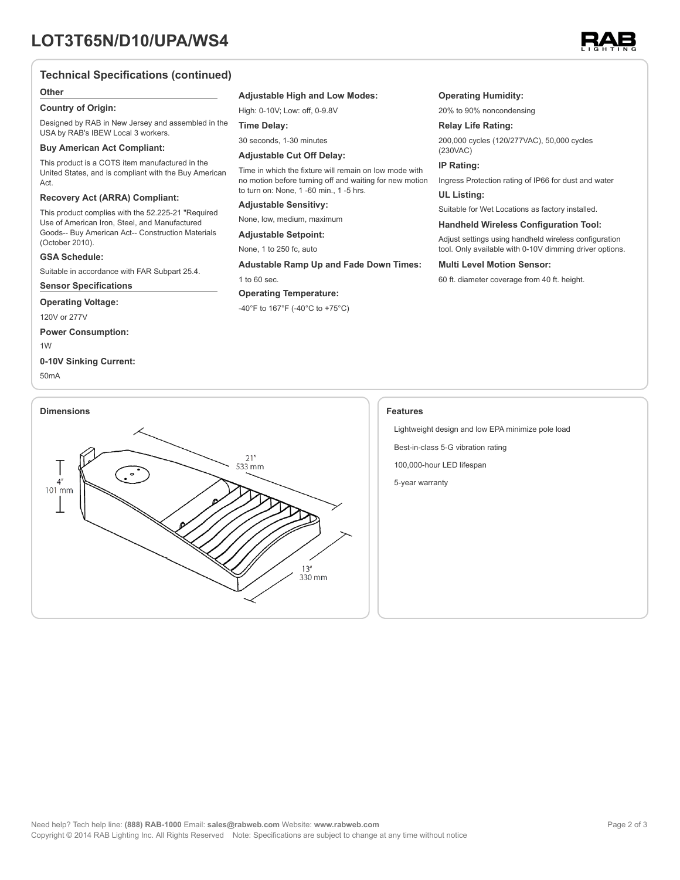

# **Technical Specifications (continued)**

#### **Other**

#### **Country of Origin:**

Designed by RAB in New Jersey and assembled in the USA by RAB's IBEW Local 3 workers.

#### **Buy American Act Compliant:**

This product is a COTS item manufactured in the United States, and is compliant with the Buy American Act.

# **Recovery Act (ARRA) Compliant:**

This product complies with the 52.225-21 "Required Use of American Iron, Steel, and Manufactured Goods-- Buy American Act-- Construction Materials (October 2010).

## **GSA Schedule:**

Suitable in accordance with FAR Subpart 25.4.

**Sensor Specifications**

#### **Operating Voltage:**

120V or 277V

**Power Consumption:**

1W

# **0-10V Sinking Current:**

50mA

# **Adjustable High and Low Modes:**

High: 0-10V; Low: off, 0-9.8V

#### **Time Delay:**

30 seconds, 1-30 minutes

#### **Adjustable Cut Off Delay:**

Time in which the fixture will remain on low mode with no motion before turning off and waiting for new motion to turn on: None, 1 -60 min., 1 -5 hrs.

#### **Adjustable Sensitivy:**

None, low, medium, maximum

**Adjustable Setpoint:**

# None, 1 to 250 fc, auto

**Adustable Ramp Up and Fade Down Times:**

1 to 60 sec.

# **Operating Temperature:**

-40°F to 167°F (-40°C to +75°C)

#### **Operating Humidity:**

20% to 90% noncondensing

# **Relay Life Rating:**

200,000 cycles (120/277VAC), 50,000 cycles (230VAC)

#### **IP Rating:**

Ingress Protection rating of IP66 for dust and water

# **UL Listing:**

Suitable for Wet Locations as factory installed.

#### **Handheld Wireless Configuration Tool:**

Adjust settings using handheld wireless configuration tool. Only available with 0-10V dimming driver options.

#### **Multi Level Motion Sensor:**

60 ft. diameter coverage from 40 ft. height.

Lightweight design and low EPA minimize pole load

Best-in-class 5-G vibration rating

100,000-hour LED lifespan

5-year warranty